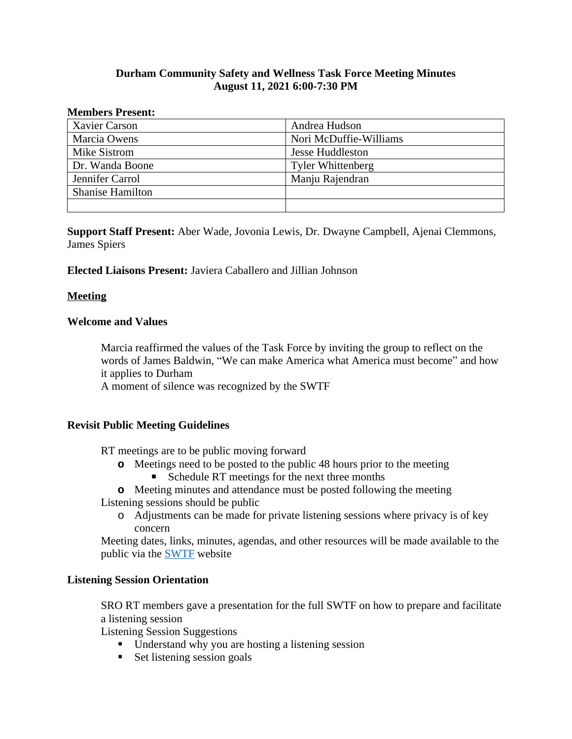# **Durham Community Safety and Wellness Task Force Meeting Minutes August 11, 2021 6:00-7:30 PM**

#### **Members Present:**

| Xavier Carson           | Andrea Hudson            |
|-------------------------|--------------------------|
| Marcia Owens            | Nori McDuffie-Williams   |
| Mike Sistrom            | Jesse Huddleston         |
| Dr. Wanda Boone         | <b>Tyler Whittenberg</b> |
| Jennifer Carrol         | Manju Rajendran          |
| <b>Shanise Hamilton</b> |                          |
|                         |                          |

**Support Staff Present:** Aber Wade, Jovonia Lewis, Dr. Dwayne Campbell, Ajenai Clemmons, James Spiers

### **Elected Liaisons Present:** Javiera Caballero and Jillian Johnson

## **Meeting**

## **Welcome and Values**

Marcia reaffirmed the values of the Task Force by inviting the group to reflect on the words of James Baldwin, "We can make America what America must become" and how it applies to Durham

A moment of silence was recognized by the SWTF

### **Revisit Public Meeting Guidelines**

RT meetings are to be public moving forward

- **o** Meetings need to be posted to the public 48 hours prior to the meeting
	- Schedule RT meetings for the next three months
- **o** Meeting minutes and attendance must be posted following the meeting Listening sessions should be public
	- o Adjustments can be made for private listening sessions where privacy is of key concern

Meeting dates, links, minutes, agendas, and other resources will be made available to the public via the [SWTF](https://durhamnc.gov/4448/Community-Safety-Wellness-Task-Force) website

### **Listening Session Orientation**

SRO RT members gave a presentation for the full SWTF on how to prepare and facilitate a listening session

Listening Session Suggestions

- Understand why you are hosting a listening session
- $\blacksquare$  Set listening session goals